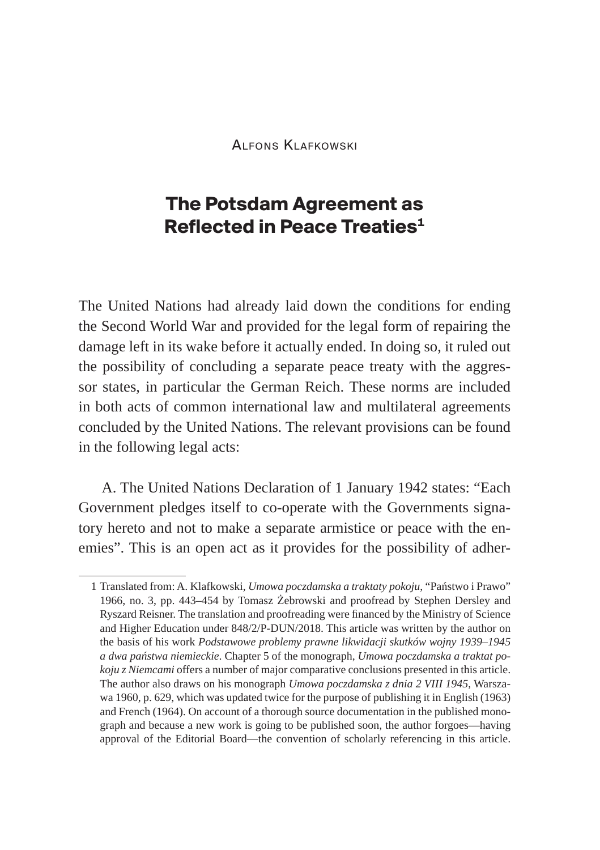Alfons Klafkowski

# **The Potsdam Agreement as Reflected in Peace Treaties1**

The United Nations had already laid down the conditions for ending the Second World War and provided for the legal form of repairing the damage left in its wake before it actually ended. In doing so, it ruled out the possibility of concluding a separate peace treaty with the aggressor states, in particular the German Reich. These norms are included in both acts of common international law and multilateral agreements concluded by the United Nations. The relevant provisions can be found in the following legal acts:

A. The United Nations Declaration of 1 January 1942 states: "Each Government pledges itself to co-operate with the Governments signatory hereto and not to make a separate armistice or peace with the enemies". This is an open act as it provides for the possibility of adher-

<sup>1</sup> Translated from: A. Klafkowski, *Umowa poczdamska a traktaty pokoju*, "Państwo i Prawo" 1966, no. 3, pp. 443–454 by Tomasz Żebrowski and proofread by Stephen Dersley and Ryszard Reisner. The translation and proofreading were financed by the Ministry of Science and Higher Education under 848/2/P-DUN/2018. This article was written by the author on the basis of his work *Podstawowe problemy prawne likwidacji skutków wojny 1939–1945 a dwa państwa niemieckie*. Chapter 5 of the monograph, *Umowa poczdamska a traktat pokoju z Niemcami* offers a number of major comparative conclusions presented in this article. The author also draws on his monograph *Umowa poczdamska z dnia 2 VIII 1945*, Warszawa 1960, p. 629, which was updated twice for the purpose of publishing it in English (1963) and French (1964). On account of a thorough source documentation in the published monograph and because a new work is going to be published soon, the author forgoes—having approval of the Editorial Board—the convention of scholarly referencing in this article.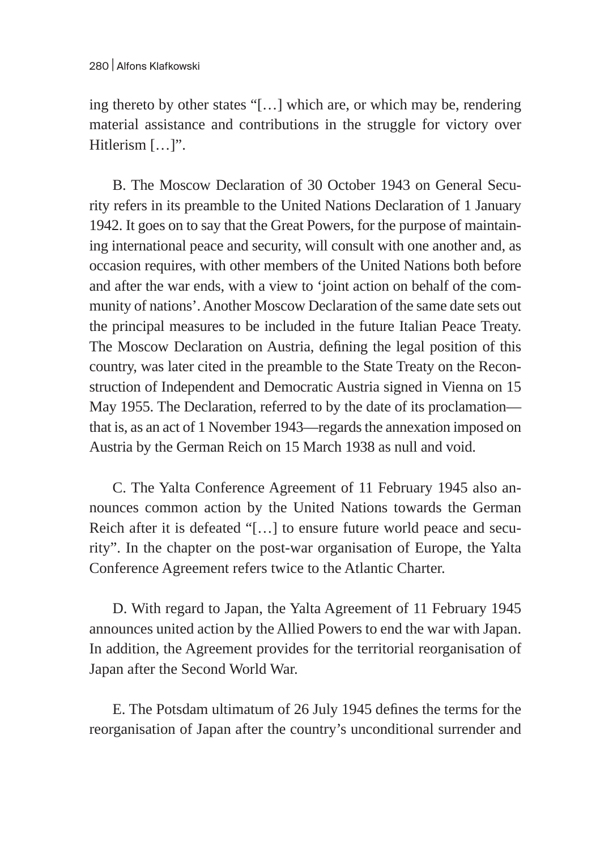ing thereto by other states "[…] which are, or which may be, rendering material assistance and contributions in the struggle for victory over Hitlerism [...]".

B. The Moscow Declaration of 30 October 1943 on General Security refers in its preamble to the United Nations Declaration of 1 January 1942. It goes on to say that the Great Powers, for the purpose of maintaining international peace and security, will consult with one another and, as occasion requires, with other members of the United Nations both before and after the war ends, with a view to 'joint action on behalf of the community of nations'. Another Moscow Declaration of the same date sets out the principal measures to be included in the future Italian Peace Treaty. The Moscow Declaration on Austria, defining the legal position of this country, was later cited in the preamble to the State Treaty on the Reconstruction of Independent and Democratic Austria signed in Vienna on 15 May 1955. The Declaration, referred to by the date of its proclamation that is, as an act of 1 November 1943—regards the annexation imposed on Austria by the German Reich on 15 March 1938 as null and void.

C. The Yalta Conference Agreement of 11 February 1945 also announces common action by the United Nations towards the German Reich after it is defeated "[…] to ensure future world peace and security". In the chapter on the post-war organisation of Europe, the Yalta Conference Agreement refers twice to the Atlantic Charter.

D. With regard to Japan, the Yalta Agreement of 11 February 1945 announces united action by the Allied Powers to end the war with Japan. In addition, the Agreement provides for the territorial reorganisation of Japan after the Second World War.

E. The Potsdam ultimatum of 26 July 1945 defines the terms for the reorganisation of Japan after the country's unconditional surrender and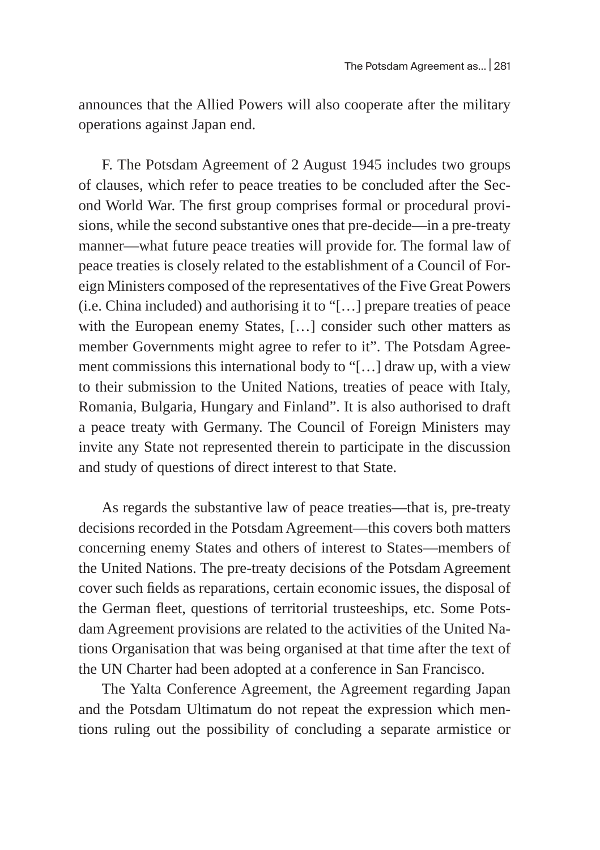announces that the Allied Powers will also cooperate after the military operations against Japan end.

F. The Potsdam Agreement of 2 August 1945 includes two groups of clauses, which refer to peace treaties to be concluded after the Second World War. The first group comprises formal or procedural provisions, while the second substantive ones that pre-decide—in a pre-treaty manner—what future peace treaties will provide for. The formal law of peace treaties is closely related to the establishment of a Council of Foreign Ministers composed of the representatives of the Five Great Powers (i.e. China included) and authorising it to "[…] prepare treaties of peace with the European enemy States, […] consider such other matters as member Governments might agree to refer to it". The Potsdam Agreement commissions this international body to "[…] draw up, with a view to their submission to the United Nations, treaties of peace with Italy, Romania, Bulgaria, Hungary and Finland". It is also authorised to draft a peace treaty with Germany. The Council of Foreign Ministers may invite any State not represented therein to participate in the discussion and study of questions of direct interest to that State.

As regards the substantive law of peace treaties—that is, pre-treaty decisions recorded in the Potsdam Agreement—this covers both matters concerning enemy States and others of interest to States—members of the United Nations. The pre-treaty decisions of the Potsdam Agreement cover such fields as reparations, certain economic issues, the disposal of the German fleet, questions of territorial trusteeships, etc. Some Potsdam Agreement provisions are related to the activities of the United Nations Organisation that was being organised at that time after the text of the UN Charter had been adopted at a conference in San Francisco.

The Yalta Conference Agreement, the Agreement regarding Japan and the Potsdam Ultimatum do not repeat the expression which mentions ruling out the possibility of concluding a separate armistice or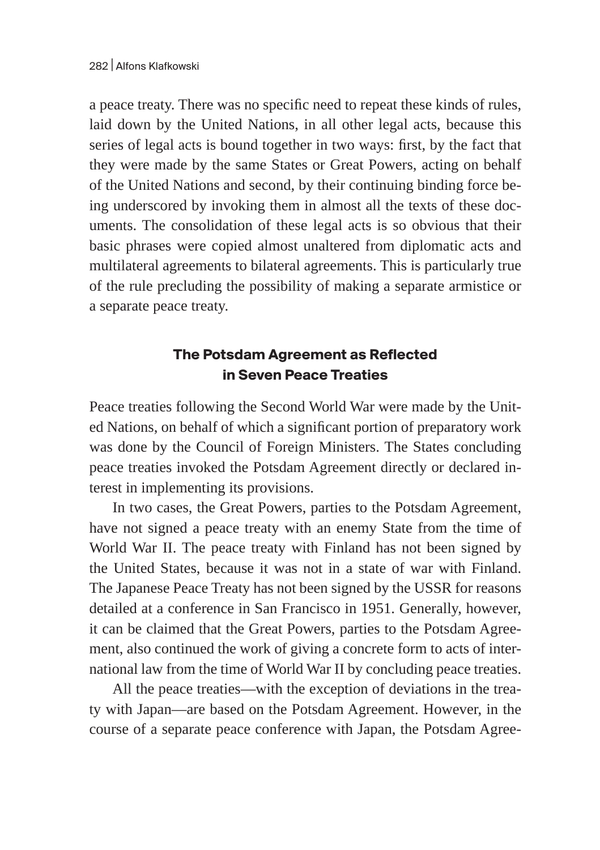a peace treaty. There was no specific need to repeat these kinds of rules, laid down by the United Nations, in all other legal acts, because this series of legal acts is bound together in two ways: first, by the fact that they were made by the same States or Great Powers, acting on behalf of the United Nations and second, by their continuing binding force being underscored by invoking them in almost all the texts of these documents. The consolidation of these legal acts is so obvious that their basic phrases were copied almost unaltered from diplomatic acts and multilateral agreements to bilateral agreements. This is particularly true of the rule precluding the possibility of making a separate armistice or a separate peace treaty.

## **The Potsdam Agreement as Reflected in Seven Peace Treaties**

Peace treaties following the Second World War were made by the United Nations, on behalf of which a significant portion of preparatory work was done by the Council of Foreign Ministers. The States concluding peace treaties invoked the Potsdam Agreement directly or declared interest in implementing its provisions.

In two cases, the Great Powers, parties to the Potsdam Agreement, have not signed a peace treaty with an enemy State from the time of World War II. The peace treaty with Finland has not been signed by the United States, because it was not in a state of war with Finland. The Japanese Peace Treaty has not been signed by the USSR for reasons detailed at a conference in San Francisco in 1951. Generally, however, it can be claimed that the Great Powers, parties to the Potsdam Agreement, also continued the work of giving a concrete form to acts of international law from the time of World War II by concluding peace treaties.

All the peace treaties—with the exception of deviations in the treaty with Japan—are based on the Potsdam Agreement. However, in the course of a separate peace conference with Japan, the Potsdam Agree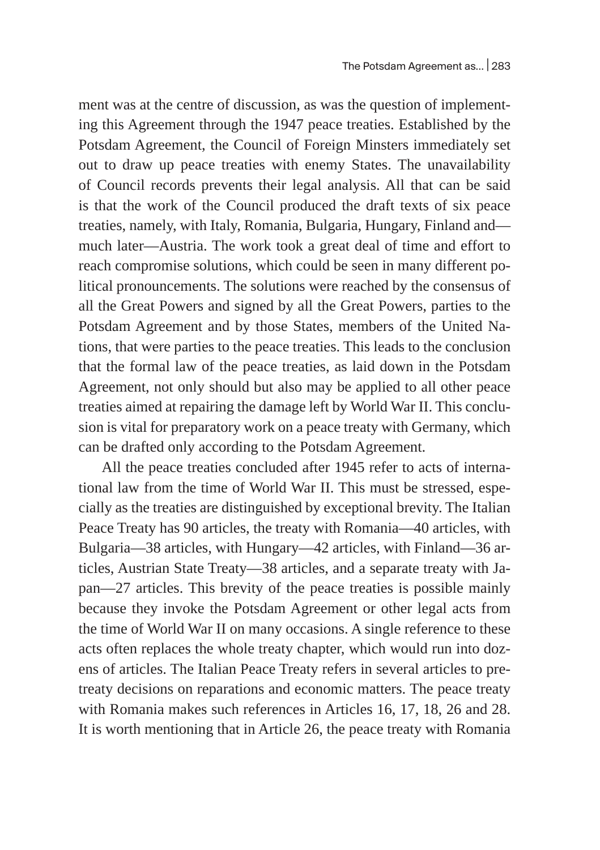ment was at the centre of discussion, as was the question of implementing this Agreement through the 1947 peace treaties. Established by the Potsdam Agreement, the Council of Foreign Minsters immediately set out to draw up peace treaties with enemy States. The unavailability of Council records prevents their legal analysis. All that can be said is that the work of the Council produced the draft texts of six peace treaties, namely, with Italy, Romania, Bulgaria, Hungary, Finland and much later—Austria. The work took a great deal of time and effort to reach compromise solutions, which could be seen in many different political pronouncements. The solutions were reached by the consensus of all the Great Powers and signed by all the Great Powers, parties to the Potsdam Agreement and by those States, members of the United Nations, that were parties to the peace treaties. This leads to the conclusion that the formal law of the peace treaties, as laid down in the Potsdam Agreement, not only should but also may be applied to all other peace treaties aimed at repairing the damage left by World War II. This conclusion is vital for preparatory work on a peace treaty with Germany, which can be drafted only according to the Potsdam Agreement.

All the peace treaties concluded after 1945 refer to acts of international law from the time of World War II. This must be stressed, especially as the treaties are distinguished by exceptional brevity. The Italian Peace Treaty has 90 articles, the treaty with Romania—40 articles, with Bulgaria—38 articles, with Hungary—42 articles, with Finland—36 articles, Austrian State Treaty—38 articles, and a separate treaty with Japan—27 articles. This brevity of the peace treaties is possible mainly because they invoke the Potsdam Agreement or other legal acts from the time of World War II on many occasions. A single reference to these acts often replaces the whole treaty chapter, which would run into dozens of articles. The Italian Peace Treaty refers in several articles to pretreaty decisions on reparations and economic matters. The peace treaty with Romania makes such references in Articles 16, 17, 18, 26 and 28. It is worth mentioning that in Article 26, the peace treaty with Romania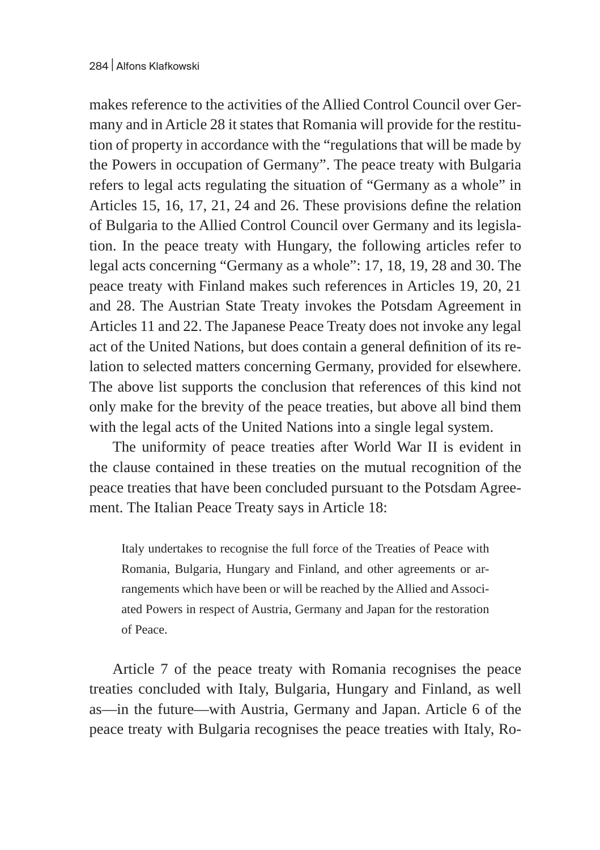makes reference to the activities of the Allied Control Council over Germany and in Article 28 it states that Romania will provide for the restitution of property in accordance with the "regulations that will be made by the Powers in occupation of Germany". The peace treaty with Bulgaria refers to legal acts regulating the situation of "Germany as a whole" in Articles 15, 16, 17, 21, 24 and 26. These provisions define the relation of Bulgaria to the Allied Control Council over Germany and its legislation. In the peace treaty with Hungary, the following articles refer to legal acts concerning "Germany as a whole": 17, 18, 19, 28 and 30. The peace treaty with Finland makes such references in Articles 19, 20, 21 and 28. The Austrian State Treaty invokes the Potsdam Agreement in Articles 11 and 22. The Japanese Peace Treaty does not invoke any legal act of the United Nations, but does contain a general definition of its relation to selected matters concerning Germany, provided for elsewhere. The above list supports the conclusion that references of this kind not only make for the brevity of the peace treaties, but above all bind them with the legal acts of the United Nations into a single legal system.

The uniformity of peace treaties after World War II is evident in the clause contained in these treaties on the mutual recognition of the peace treaties that have been concluded pursuant to the Potsdam Agreement. The Italian Peace Treaty says in Article 18:

Italy undertakes to recognise the full force of the Treaties of Peace with Romania, Bulgaria, Hungary and Finland, and other agreements or arrangements which have been or will be reached by the Allied and Associated Powers in respect of Austria, Germany and Japan for the restoration of Peace.

Article 7 of the peace treaty with Romania recognises the peace treaties concluded with Italy, Bulgaria, Hungary and Finland, as well as—in the future—with Austria, Germany and Japan. Article 6 of the peace treaty with Bulgaria recognises the peace treaties with Italy, Ro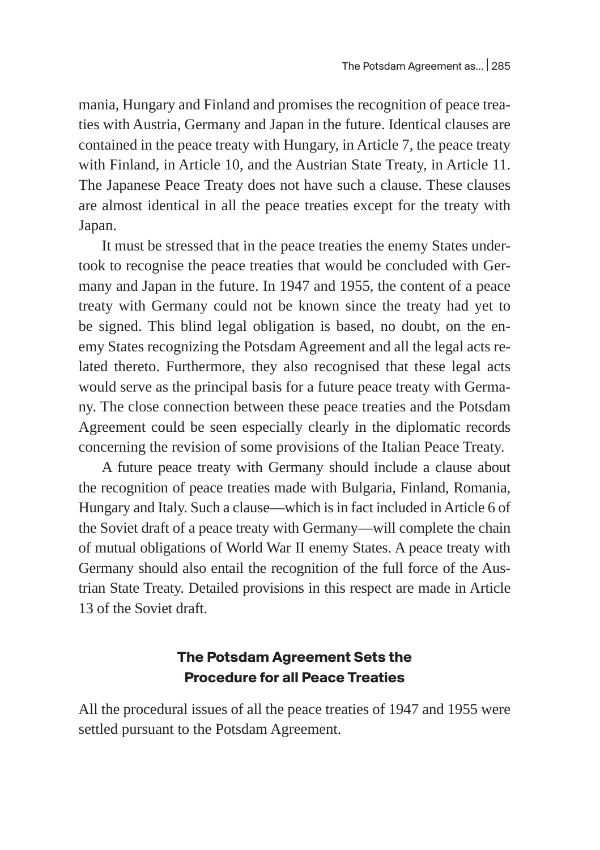mania, Hungary and Finland and promises the recognition of peace treaties with Austria, Germany and Japan in the future. Identical clauses are contained in the peace treaty with Hungary, in Article 7, the peace treaty with Finland, in Article 10, and the Austrian State Treaty, in Article 11. The Japanese Peace Treaty does not have such a clause. These clauses are almost identical in all the peace treaties except for the treaty with Japan.

It must be stressed that in the peace treaties the enemy States undertook to recognise the peace treaties that would be concluded with Germany and Japan in the future. In 1947 and 1955, the content of a peace treaty with Germany could not be known since the treaty had yet to be signed. This blind legal obligation is based, no doubt, on the enemy States recognizing the Potsdam Agreement and all the legal acts related thereto. Furthermore, they also recognised that these legal acts would serve as the principal basis for a future peace treaty with Germany. The close connection between these peace treaties and the Potsdam Agreement could be seen especially clearly in the diplomatic records concerning the revision of some provisions of the Italian Peace Treaty.

A future peace treaty with Germany should include a clause about the recognition of peace treaties made with Bulgaria, Finland, Romania, Hungary and Italy. Such a clause—which is in fact included in Article 6 of the Soviet draft of a peace treaty with Germany—will complete the chain of mutual obligations of World War II enemy States. A peace treaty with Germany should also entail the recognition of the full force of the Austrian State Treaty. Detailed provisions in this respect are made in Article 13 of the Soviet draft.

#### **The Potsdam Agreement Sets the Procedure for all Peace Treaties**

All the procedural issues of all the peace treaties of 1947 and 1955 were settled pursuant to the Potsdam Agreement.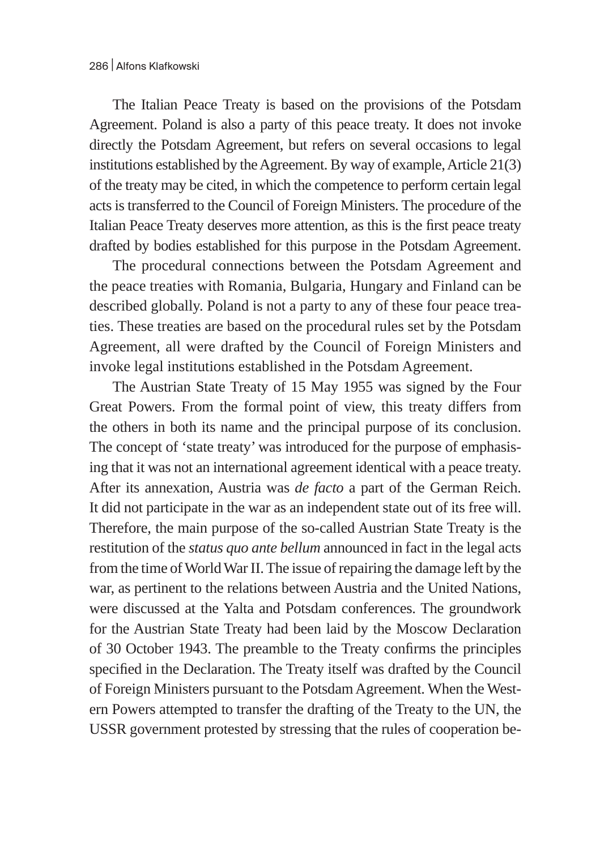The Italian Peace Treaty is based on the provisions of the Potsdam Agreement. Poland is also a party of this peace treaty. It does not invoke directly the Potsdam Agreement, but refers on several occasions to legal institutions established by the Agreement. By way of example, Article 21(3) of the treaty may be cited, in which the competence to perform certain legal acts is transferred to the Council of Foreign Ministers. The procedure of the Italian Peace Treaty deserves more attention, as this is the first peace treaty drafted by bodies established for this purpose in the Potsdam Agreement.

The procedural connections between the Potsdam Agreement and the peace treaties with Romania, Bulgaria, Hungary and Finland can be described globally. Poland is not a party to any of these four peace treaties. These treaties are based on the procedural rules set by the Potsdam Agreement, all were drafted by the Council of Foreign Ministers and invoke legal institutions established in the Potsdam Agreement.

The Austrian State Treaty of 15 May 1955 was signed by the Four Great Powers. From the formal point of view, this treaty differs from the others in both its name and the principal purpose of its conclusion. The concept of 'state treaty' was introduced for the purpose of emphasising that it was not an international agreement identical with a peace treaty. After its annexation, Austria was *de facto* a part of the German Reich. It did not participate in the war as an independent state out of its free will. Therefore, the main purpose of the so-called Austrian State Treaty is the restitution of the *status quo ante bellum* announced in fact in the legal acts from the time of World War II.The issue of repairing the damage left by the war, as pertinent to the relations between Austria and the United Nations, were discussed at the Yalta and Potsdam conferences. The groundwork for the Austrian State Treaty had been laid by the Moscow Declaration of 30 October 1943. The preamble to the Treaty confirms the principles specified in the Declaration. The Treaty itself was drafted by the Council of Foreign Ministers pursuant to the Potsdam Agreement. When the Western Powers attempted to transfer the drafting of the Treaty to the UN, the USSR government protested by stressing that the rules of cooperation be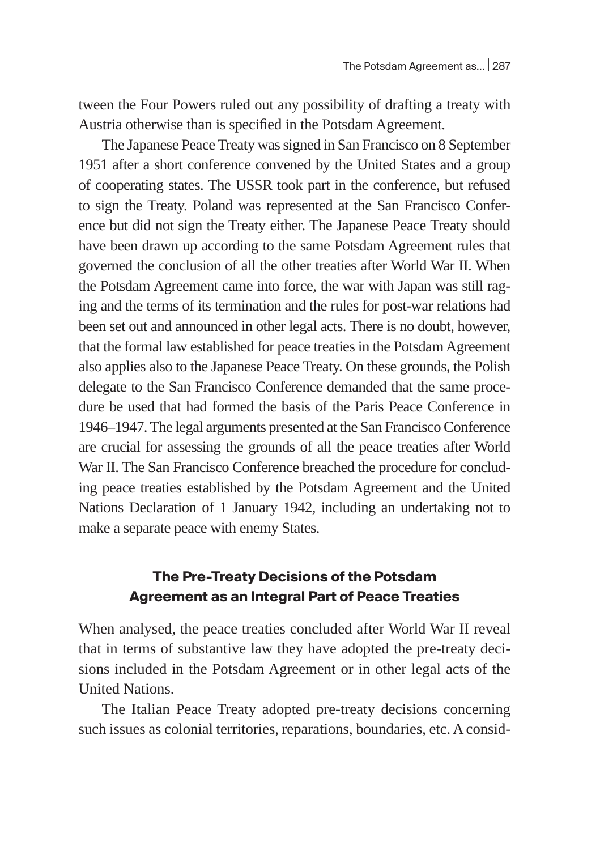tween the Four Powers ruled out any possibility of drafting a treaty with Austria otherwise than is specified in the Potsdam Agreement.

The Japanese Peace Treaty was signed in San Francisco on 8 September 1951 after a short conference convened by the United States and a group of cooperating states. The USSR took part in the conference, but refused to sign the Treaty. Poland was represented at the San Francisco Conference but did not sign the Treaty either. The Japanese Peace Treaty should have been drawn up according to the same Potsdam Agreement rules that governed the conclusion of all the other treaties after World War II. When the Potsdam Agreement came into force, the war with Japan was still raging and the terms of its termination and the rules for post-war relations had been set out and announced in other legal acts. There is no doubt, however, that the formal law established for peace treaties in the Potsdam Agreement also applies also to the Japanese Peace Treaty. On these grounds, the Polish delegate to the San Francisco Conference demanded that the same procedure be used that had formed the basis of the Paris Peace Conference in 1946–1947. The legal arguments presented at the San Francisco Conference are crucial for assessing the grounds of all the peace treaties after World War II. The San Francisco Conference breached the procedure for concluding peace treaties established by the Potsdam Agreement and the United Nations Declaration of 1 January 1942, including an undertaking not to make a separate peace with enemy States.

### **The Pre-Treaty Decisions of the Potsdam Agreement as an Integral Part of Peace Treaties**

When analysed, the peace treaties concluded after World War II reveal that in terms of substantive law they have adopted the pre-treaty decisions included in the Potsdam Agreement or in other legal acts of the United Nations.

The Italian Peace Treaty adopted pre-treaty decisions concerning such issues as colonial territories, reparations, boundaries, etc. A consid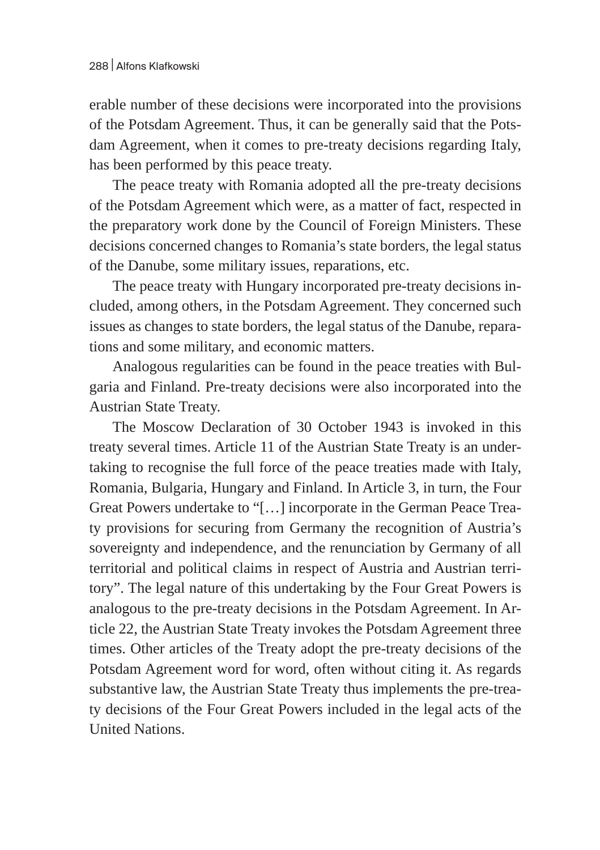erable number of these decisions were incorporated into the provisions of the Potsdam Agreement. Thus, it can be generally said that the Potsdam Agreement, when it comes to pre-treaty decisions regarding Italy, has been performed by this peace treaty.

The peace treaty with Romania adopted all the pre-treaty decisions of the Potsdam Agreement which were, as a matter of fact, respected in the preparatory work done by the Council of Foreign Ministers. These decisions concerned changes to Romania's state borders, the legal status of the Danube, some military issues, reparations, etc.

The peace treaty with Hungary incorporated pre-treaty decisions included, among others, in the Potsdam Agreement. They concerned such issues as changes to state borders, the legal status of the Danube, reparations and some military, and economic matters.

Analogous regularities can be found in the peace treaties with Bulgaria and Finland. Pre-treaty decisions were also incorporated into the Austrian State Treaty.

The Moscow Declaration of 30 October 1943 is invoked in this treaty several times. Article 11 of the Austrian State Treaty is an undertaking to recognise the full force of the peace treaties made with Italy, Romania, Bulgaria, Hungary and Finland. In Article 3, in turn, the Four Great Powers undertake to "[…] incorporate in the German Peace Treaty provisions for securing from Germany the recognition of Austria's sovereignty and independence, and the renunciation by Germany of all territorial and political claims in respect of Austria and Austrian territory". The legal nature of this undertaking by the Four Great Powers is analogous to the pre-treaty decisions in the Potsdam Agreement. In Article 22, the Austrian State Treaty invokes the Potsdam Agreement three times. Other articles of the Treaty adopt the pre-treaty decisions of the Potsdam Agreement word for word, often without citing it. As regards substantive law, the Austrian State Treaty thus implements the pre-treaty decisions of the Four Great Powers included in the legal acts of the United Nations.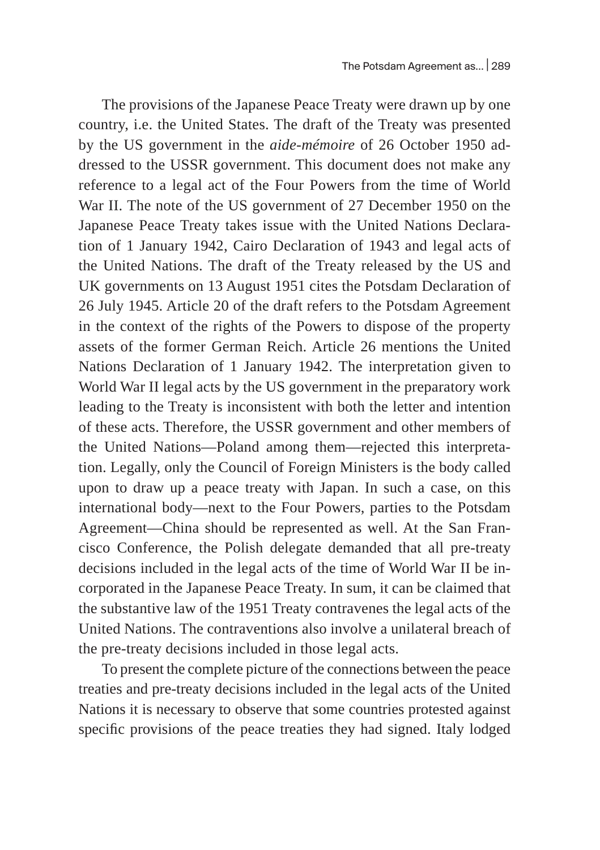The provisions of the Japanese Peace Treaty were drawn up by one country, i.e. the United States. The draft of the Treaty was presented by the US government in the *aide-mémoire* of 26 October 1950 addressed to the USSR government. This document does not make any reference to a legal act of the Four Powers from the time of World War II. The note of the US government of 27 December 1950 on the Japanese Peace Treaty takes issue with the United Nations Declaration of 1 January 1942, Cairo Declaration of 1943 and legal acts of the United Nations. The draft of the Treaty released by the US and UK governments on 13 August 1951 cites the Potsdam Declaration of 26 July 1945. Article 20 of the draft refers to the Potsdam Agreement in the context of the rights of the Powers to dispose of the property assets of the former German Reich. Article 26 mentions the United Nations Declaration of 1 January 1942. The interpretation given to World War II legal acts by the US government in the preparatory work leading to the Treaty is inconsistent with both the letter and intention of these acts. Therefore, the USSR government and other members of the United Nations—Poland among them—rejected this interpretation. Legally, only the Council of Foreign Ministers is the body called upon to draw up a peace treaty with Japan. In such a case, on this international body—next to the Four Powers, parties to the Potsdam Agreement—China should be represented as well. At the San Francisco Conference, the Polish delegate demanded that all pre-treaty decisions included in the legal acts of the time of World War II be incorporated in the Japanese Peace Treaty. In sum, it can be claimed that the substantive law of the 1951 Treaty contravenes the legal acts of the United Nations. The contraventions also involve a unilateral breach of the pre-treaty decisions included in those legal acts.

To present the complete picture of the connections between the peace treaties and pre-treaty decisions included in the legal acts of the United Nations it is necessary to observe that some countries protested against specific provisions of the peace treaties they had signed. Italy lodged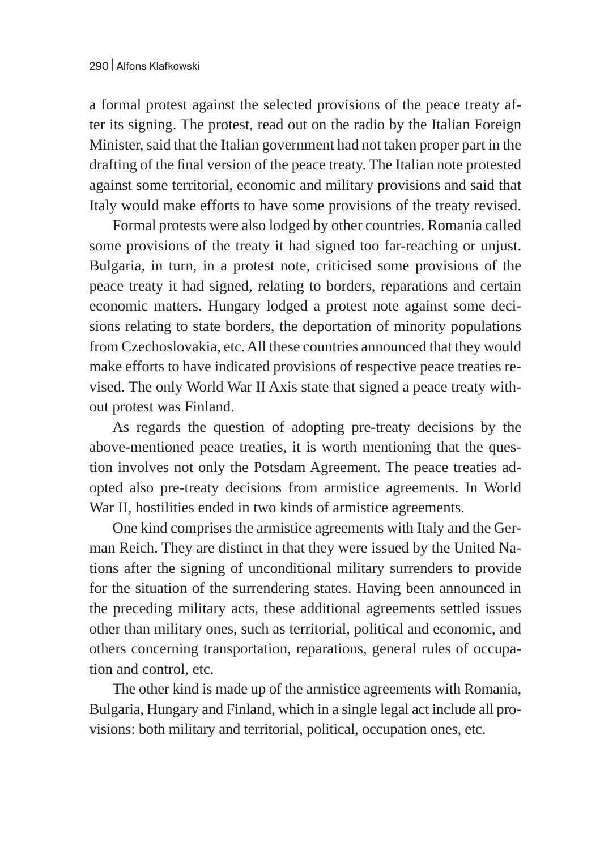a formal protest against the selected provisions of the peace treaty after its signing. The protest, read out on the radio by the Italian Foreign Minister, said that the Italian government had not taken proper part in the drafting of the final version of the peace treaty. The Italian note protested against some territorial, economic and military provisions and said that Italy would make efforts to have some provisions of the treaty revised.

Formal protests were also lodged by other countries. Romania called some provisions of the treaty it had signed too far-reaching or unjust. Bulgaria, in turn, in a protest note, criticised some provisions of the peace treaty it had signed, relating to borders, reparations and certain economic matters. Hungary lodged a protest note against some decisions relating to state borders, the deportation of minority populations from Czechoslovakia, etc. All these countries announced that they would make efforts to have indicated provisions of respective peace treaties revised. The only World War II Axis state that signed a peace treaty without protest was Finland.

As regards the question of adopting pre-treaty decisions by the above-mentioned peace treaties, it is worth mentioning that the question involves not only the Potsdam Agreement. The peace treaties adopted also pre-treaty decisions from armistice agreements. In World War II, hostilities ended in two kinds of armistice agreements.

One kind comprises the armistice agreements with Italy and the German Reich. They are distinct in that they were issued by the United Nations after the signing of unconditional military surrenders to provide for the situation of the surrendering states. Having been announced in the preceding military acts, these additional agreements settled issues other than military ones, such as territorial, political and economic, and others concerning transportation, reparations, general rules of occupation and control, etc.

The other kind is made up of the armistice agreements with Romania, Bulgaria, Hungary and Finland, which in a single legal act include all provisions: both military and territorial, political, occupation ones, etc.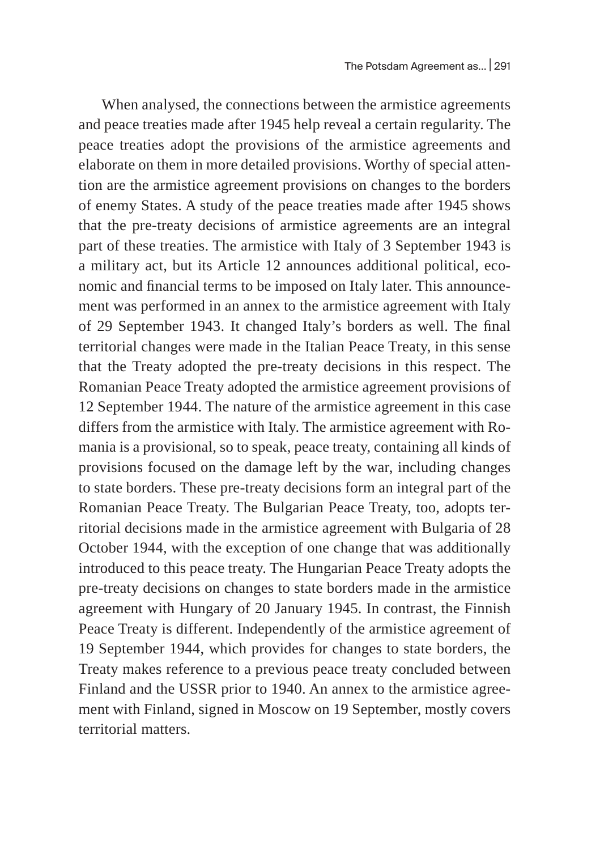When analysed, the connections between the armistice agreements and peace treaties made after 1945 help reveal a certain regularity. The peace treaties adopt the provisions of the armistice agreements and elaborate on them in more detailed provisions. Worthy of special attention are the armistice agreement provisions on changes to the borders of enemy States. A study of the peace treaties made after 1945 shows that the pre-treaty decisions of armistice agreements are an integral part of these treaties. The armistice with Italy of 3 September 1943 is a military act, but its Article 12 announces additional political, economic and financial terms to be imposed on Italy later. This announcement was performed in an annex to the armistice agreement with Italy of 29 September 1943. It changed Italy's borders as well. The final territorial changes were made in the Italian Peace Treaty, in this sense that the Treaty adopted the pre-treaty decisions in this respect. The Romanian Peace Treaty adopted the armistice agreement provisions of 12 September 1944. The nature of the armistice agreement in this case differs from the armistice with Italy. The armistice agreement with Romania is a provisional, so to speak, peace treaty, containing all kinds of provisions focused on the damage left by the war, including changes to state borders. These pre-treaty decisions form an integral part of the Romanian Peace Treaty. The Bulgarian Peace Treaty, too, adopts territorial decisions made in the armistice agreement with Bulgaria of 28 October 1944, with the exception of one change that was additionally introduced to this peace treaty. The Hungarian Peace Treaty adopts the pre-treaty decisions on changes to state borders made in the armistice agreement with Hungary of 20 January 1945. In contrast, the Finnish Peace Treaty is different. Independently of the armistice agreement of 19 September 1944, which provides for changes to state borders, the Treaty makes reference to a previous peace treaty concluded between Finland and the USSR prior to 1940. An annex to the armistice agreement with Finland, signed in Moscow on 19 September, mostly covers territorial matters.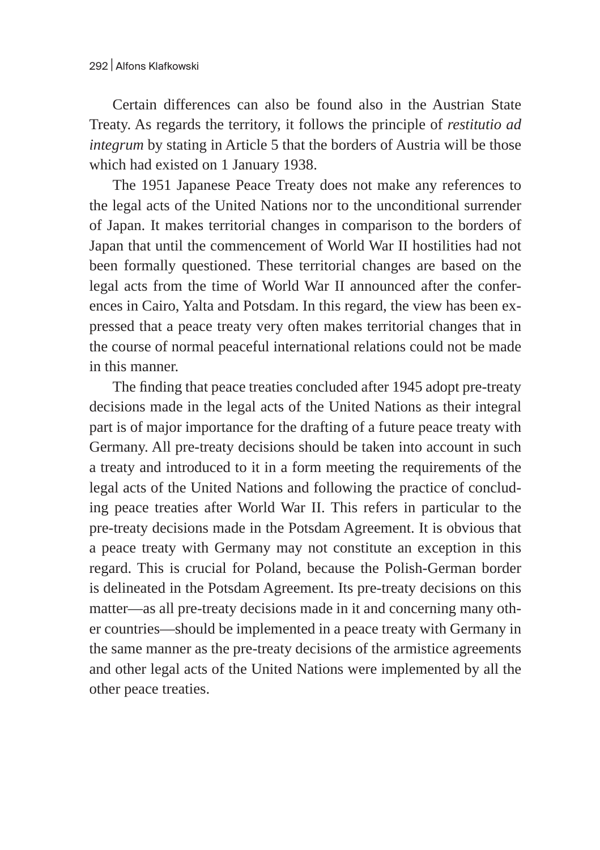Certain differences can also be found also in the Austrian State Treaty. As regards the territory, it follows the principle of *restitutio ad integrum* by stating in Article 5 that the borders of Austria will be those which had existed on 1 January 1938.

The 1951 Japanese Peace Treaty does not make any references to the legal acts of the United Nations nor to the unconditional surrender of Japan. It makes territorial changes in comparison to the borders of Japan that until the commencement of World War II hostilities had not been formally questioned. These territorial changes are based on the legal acts from the time of World War II announced after the conferences in Cairo, Yalta and Potsdam. In this regard, the view has been expressed that a peace treaty very often makes territorial changes that in the course of normal peaceful international relations could not be made in this manner.

The finding that peace treaties concluded after 1945 adopt pre-treaty decisions made in the legal acts of the United Nations as their integral part is of major importance for the drafting of a future peace treaty with Germany. All pre-treaty decisions should be taken into account in such a treaty and introduced to it in a form meeting the requirements of the legal acts of the United Nations and following the practice of concluding peace treaties after World War II. This refers in particular to the pre-treaty decisions made in the Potsdam Agreement. It is obvious that a peace treaty with Germany may not constitute an exception in this regard. This is crucial for Poland, because the Polish-German border is delineated in the Potsdam Agreement. Its pre-treaty decisions on this matter—as all pre-treaty decisions made in it and concerning many other countries—should be implemented in a peace treaty with Germany in the same manner as the pre-treaty decisions of the armistice agreements and other legal acts of the United Nations were implemented by all the other peace treaties.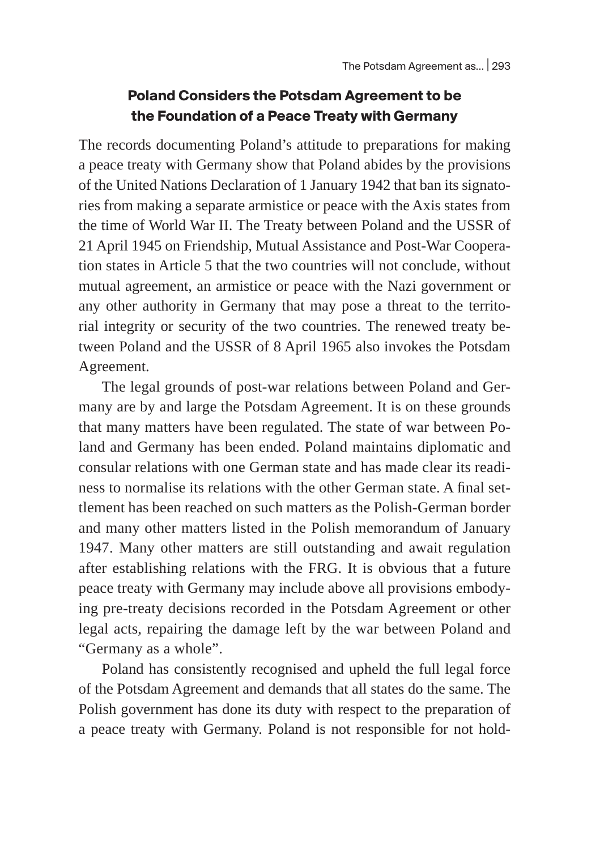#### **Poland Considers the Potsdam Agreement to be the Foundation of a Peace Treaty with Germany**

The records documenting Poland's attitude to preparations for making a peace treaty with Germany show that Poland abides by the provisions of the United Nations Declaration of 1 January 1942 that ban its signatories from making a separate armistice or peace with the Axis states from the time of World War II. The Treaty between Poland and the USSR of 21 April 1945 on Friendship, Mutual Assistance and Post-War Cooperation states in Article 5 that the two countries will not conclude, without mutual agreement, an armistice or peace with the Nazi government or any other authority in Germany that may pose a threat to the territorial integrity or security of the two countries. The renewed treaty between Poland and the USSR of 8 April 1965 also invokes the Potsdam Agreement.

The legal grounds of post-war relations between Poland and Germany are by and large the Potsdam Agreement. It is on these grounds that many matters have been regulated. The state of war between Poland and Germany has been ended. Poland maintains diplomatic and consular relations with one German state and has made clear its readiness to normalise its relations with the other German state. A final settlement has been reached on such matters as the Polish-German border and many other matters listed in the Polish memorandum of January 1947. Many other matters are still outstanding and await regulation after establishing relations with the FRG. It is obvious that a future peace treaty with Germany may include above all provisions embodying pre-treaty decisions recorded in the Potsdam Agreement or other legal acts, repairing the damage left by the war between Poland and "Germany as a whole".

Poland has consistently recognised and upheld the full legal force of the Potsdam Agreement and demands that all states do the same. The Polish government has done its duty with respect to the preparation of a peace treaty with Germany. Poland is not responsible for not hold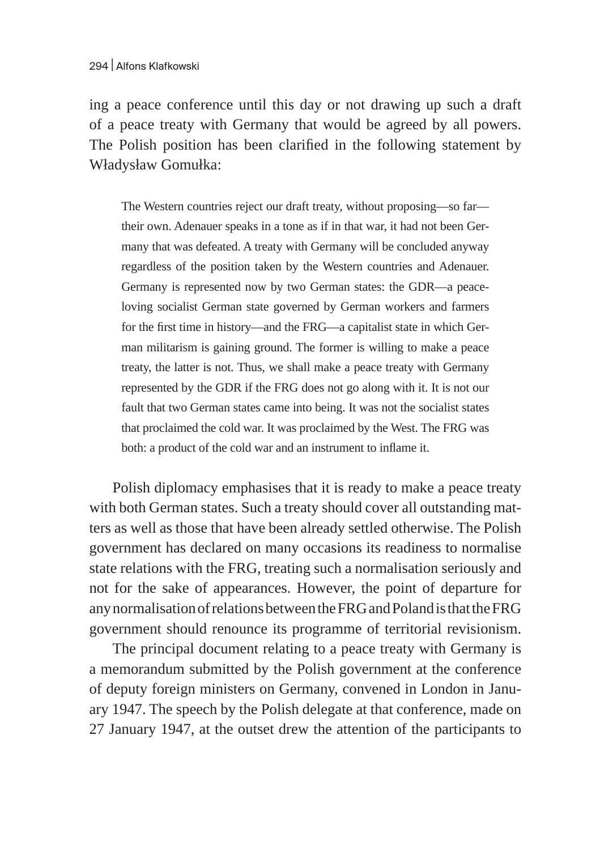ing a peace conference until this day or not drawing up such a draft of a peace treaty with Germany that would be agreed by all powers. The Polish position has been clarified in the following statement by Władysław Gomułka:

The Western countries reject our draft treaty, without proposing—so far their own. Adenauer speaks in a tone as if in that war, it had not been Germany that was defeated. A treaty with Germany will be concluded anyway regardless of the position taken by the Western countries and Adenauer. Germany is represented now by two German states: the GDR—a peaceloving socialist German state governed by German workers and farmers for the first time in history—and the FRG—a capitalist state in which German militarism is gaining ground. The former is willing to make a peace treaty, the latter is not. Thus, we shall make a peace treaty with Germany represented by the GDR if the FRG does not go along with it. It is not our fault that two German states came into being. It was not the socialist states that proclaimed the cold war. It was proclaimed by the West. The FRG was both: a product of the cold war and an instrument to inflame it.

Polish diplomacy emphasises that it is ready to make a peace treaty with both German states. Such a treaty should cover all outstanding matters as well as those that have been already settled otherwise. The Polish government has declared on many occasions its readiness to normalise state relations with the FRG, treating such a normalisation seriously and not for the sake of appearances. However, the point of departure for anynormalisation of relations between the FRG and Poland is that the FRG government should renounce its programme of territorial revisionism.

The principal document relating to a peace treaty with Germany is a memorandum submitted by the Polish government at the conference of deputy foreign ministers on Germany, convened in London in January 1947. The speech by the Polish delegate at that conference, made on 27 January 1947, at the outset drew the attention of the participants to